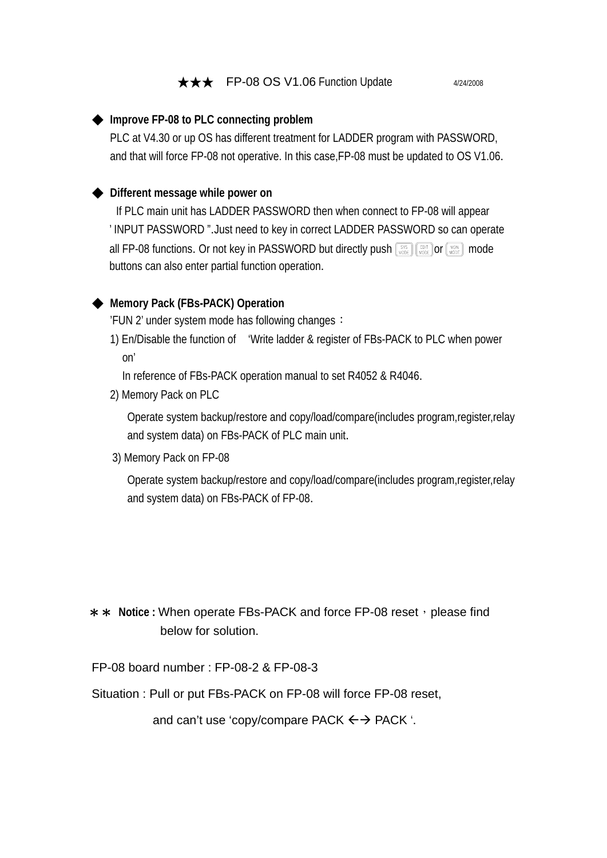## **★★★** FP-08 OS V1.06 Function Update 4/24/2008

#### ◆ **Improve FP-08 to PLC connecting problem**

PLC at V4.30 or up OS has different treatment for LADDER program with PASSWORD, and that will force FP-08 not operative. In this case,FP-08 must be updated to OS V1.06.

### ◆ **Different message while power on**

If PLC main unit has LADDER PASSWORD then when connect to FP-08 will appear ' INPUT PASSWORD ".Just need to key in correct LADDER PASSWORD so can operate all FP-08 functions. Or not key in PASSWORD but directly push  $\left[\frac{SSS}{\text{WODE}}\right]$   $\left[\frac{FST}{\text{WODE}}\right]$  mode buttons can also enter partial function operation.

## ◆ **Memory Pack (FBs-PACK) Operation**

'FUN 2' under system mode has following changes:

1) En/Disable the function of 'Write ladder & register of FBs-PACK to PLC when power on'

In reference of FBs-PACK operation manual to set R4052 & R4046.

2) Memory Pack on PLC

 Operate system backup/restore and copy/load/compare(includes program,register,relay and system data) on FBs-PACK of PLC main unit.

3) Memory Pack on FP-08

Operate system backup/restore and copy/load/compare(includes program,register,relay and system data) on FBs-PACK of FP-08.

# \*\* Notice : When operate FBs-PACK and force FP-08 reset, please find below for solution.

#### FP-08 board number : FP-08-2 & FP-08-3

Situation : Pull or put FBs-PACK on FP-08 will force FP-08 reset,

and can't use 'copy/compare PACK  $\leftrightarrow$  PACK '.